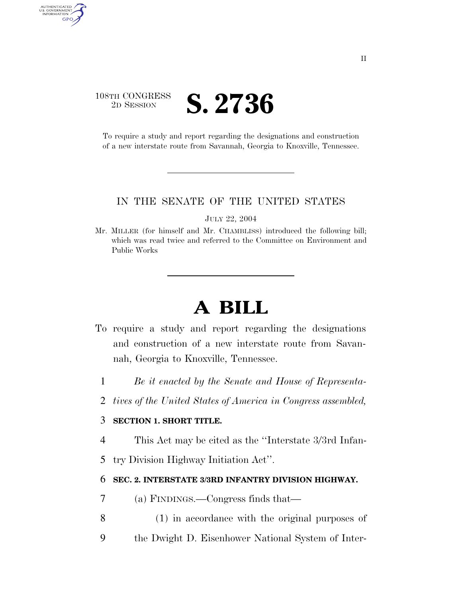## 108TH CONGRESS <sup>2D SESSION</sup> **S. 2736**

AUTHENTICATED<br>U.S. GOVERNMENT<br>INFORMATION GPO

> To require a study and report regarding the designations and construction of a new interstate route from Savannah, Georgia to Knoxville, Tennessee.

#### IN THE SENATE OF THE UNITED STATES

JULY 22, 2004

Mr. MILLER (for himself and Mr. CHAMBLISS) introduced the following bill; which was read twice and referred to the Committee on Environment and Public Works

# **A BILL**

- To require a study and report regarding the designations and construction of a new interstate route from Savannah, Georgia to Knoxville, Tennessee.
	- 1 *Be it enacted by the Senate and House of Representa-*
	- 2 *tives of the United States of America in Congress assembled,*

### 3 **SECTION 1. SHORT TITLE.**

- 4 This Act may be cited as the ''Interstate 3/3rd Infan-
- 5 try Division Highway Initiation Act''.

### 6 **SEC. 2. INTERSTATE 3/3RD INFANTRY DIVISION HIGHWAY.**

- 7 (a) FINDINGS.—Congress finds that—
- 8 (1) in accordance with the original purposes of
- 9 the Dwight D. Eisenhower National System of Inter-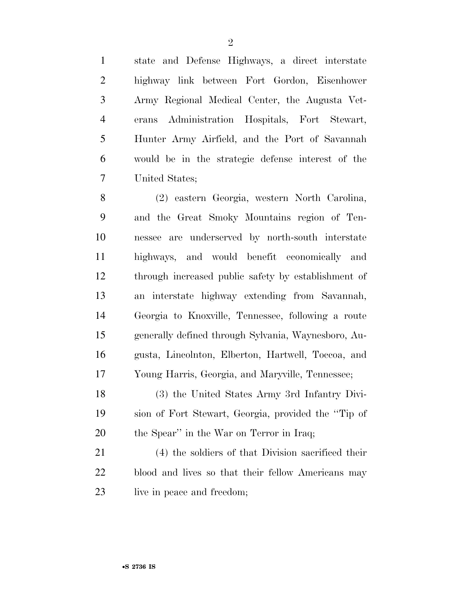state and Defense Highways, a direct interstate highway link between Fort Gordon, Eisenhower Army Regional Medical Center, the Augusta Vet- erans Administration Hospitals, Fort Stewart, Hunter Army Airfield, and the Port of Savannah would be in the strategic defense interest of the United States;

 (2) eastern Georgia, western North Carolina, and the Great Smoky Mountains region of Ten- nessee are underserved by north-south interstate highways, and would benefit economically and through increased public safety by establishment of an interstate highway extending from Savannah, Georgia to Knoxville, Tennessee, following a route generally defined through Sylvania, Waynesboro, Au- gusta, Lincolnton, Elberton, Hartwell, Toccoa, and Young Harris, Georgia, and Maryville, Tennessee;

 (3) the United States Army 3rd Infantry Divi- sion of Fort Stewart, Georgia, provided the ''Tip of 20 the Spear'' in the War on Terror in Iraq;

 (4) the soldiers of that Division sacrificed their blood and lives so that their fellow Americans may 23 live in peace and freedom;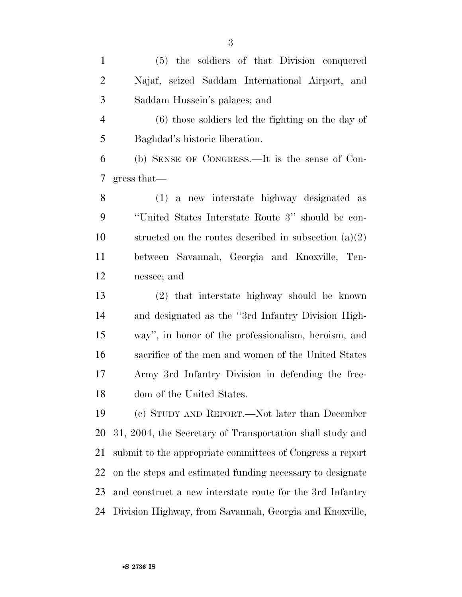(5) the soldiers of that Division conquered Najaf, seized Saddam International Airport, and Saddam Hussein's palaces; and

 (6) those soldiers led the fighting on the day of Baghdad's historic liberation.

 (b) SENSE OF CONGRESS.—It is the sense of Con-gress that—

 (1) a new interstate highway designated as ''United States Interstate Route 3'' should be con-10 structed on the routes described in subsection  $(a)(2)$  between Savannah, Georgia and Knoxville, Ten-nessee; and

 (2) that interstate highway should be known and designated as the ''3rd Infantry Division High- way'', in honor of the professionalism, heroism, and sacrifice of the men and women of the United States Army 3rd Infantry Division in defending the free-dom of the United States.

 (c) STUDY AND REPORT.—Not later than December 31, 2004, the Secretary of Transportation shall study and submit to the appropriate committees of Congress a report on the steps and estimated funding necessary to designate and construct a new interstate route for the 3rd Infantry Division Highway, from Savannah, Georgia and Knoxville,